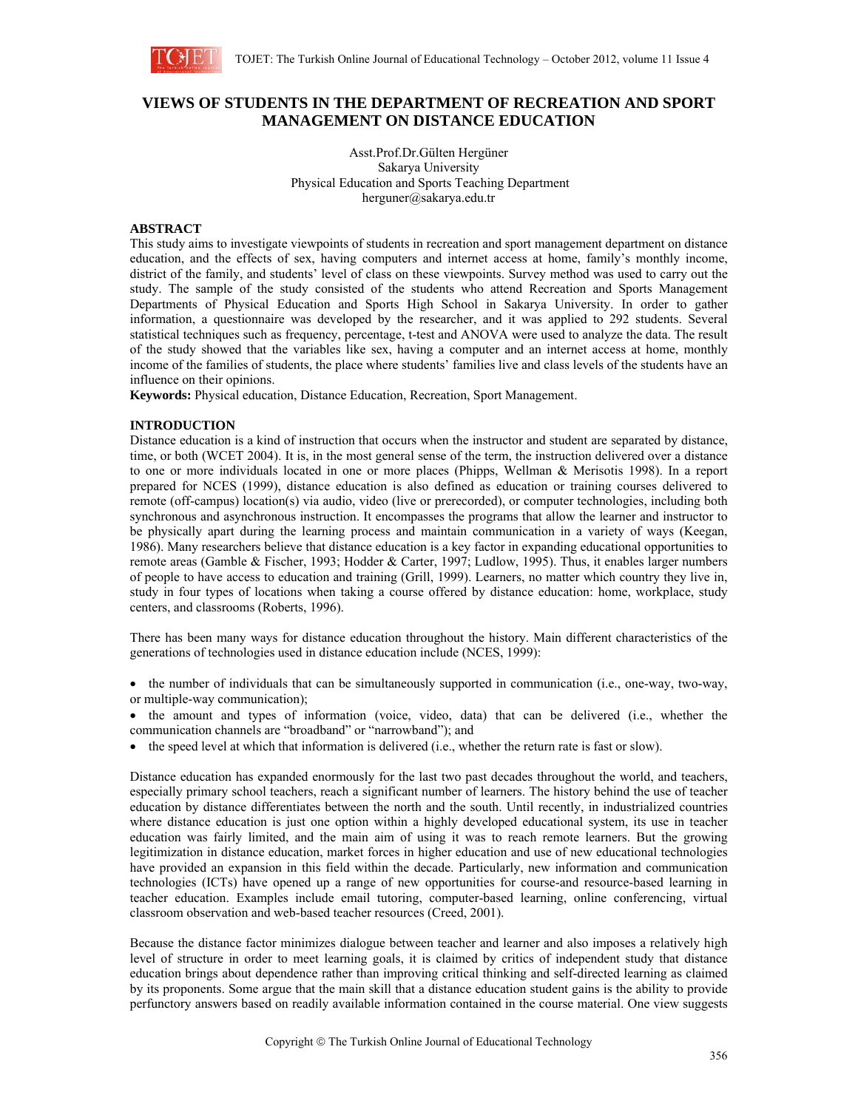

# **VIEWS OF STUDENTS IN THE DEPARTMENT OF RECREATION AND SPORT MANAGEMENT ON DISTANCE EDUCATION**

Asst.Prof.Dr.Gülten Hergüner Sakarya University Physical Education and Sports Teaching Department herguner@sakarya.edu.tr

### **ABSTRACT**

This study aims to investigate viewpoints of students in recreation and sport management department on distance education, and the effects of sex, having computers and internet access at home, family's monthly income, district of the family, and students' level of class on these viewpoints. Survey method was used to carry out the study. The sample of the study consisted of the students who attend Recreation and Sports Management Departments of Physical Education and Sports High School in Sakarya University. In order to gather information, a questionnaire was developed by the researcher, and it was applied to 292 students. Several statistical techniques such as frequency, percentage, t-test and ANOVA were used to analyze the data. The result of the study showed that the variables like sex, having a computer and an internet access at home, monthly income of the families of students, the place where students' families live and class levels of the students have an influence on their opinions.

**Keywords:** Physical education, Distance Education, Recreation, Sport Management.

## **INTRODUCTION**

Distance education is a kind of instruction that occurs when the instructor and student are separated by distance, time, or both (WCET 2004). It is, in the most general sense of the term, the instruction delivered over a distance to one or more individuals located in one or more places (Phipps, Wellman & Merisotis 1998). In a report prepared for NCES (1999), distance education is also defined as education or training courses delivered to remote (off-campus) location(s) via audio, video (live or prerecorded), or computer technologies, including both synchronous and asynchronous instruction. It encompasses the programs that allow the learner and instructor to be physically apart during the learning process and maintain communication in a variety of ways (Keegan, 1986). Many researchers believe that distance education is a key factor in expanding educational opportunities to remote areas (Gamble & Fischer, 1993; Hodder & Carter, 1997; Ludlow, 1995). Thus, it enables larger numbers of people to have access to education and training (Grill, 1999). Learners, no matter which country they live in, study in four types of locations when taking a course offered by distance education: home, workplace, study centers, and classrooms (Roberts, 1996).

There has been many ways for distance education throughout the history. Main different characteristics of the generations of technologies used in distance education include (NCES, 1999):

- the number of individuals that can be simultaneously supported in communication (i.e., one-way, two-way, or multiple-way communication);
- the amount and types of information (voice, video, data) that can be delivered (i.e., whether the communication channels are "broadband" or "narrowband"); and
- the speed level at which that information is delivered (i.e., whether the return rate is fast or slow).

Distance education has expanded enormously for the last two past decades throughout the world, and teachers, especially primary school teachers, reach a significant number of learners. The history behind the use of teacher education by distance differentiates between the north and the south. Until recently, in industrialized countries where distance education is just one option within a highly developed educational system, its use in teacher education was fairly limited, and the main aim of using it was to reach remote learners. But the growing legitimization in distance education, market forces in higher education and use of new educational technologies have provided an expansion in this field within the decade. Particularly, new information and communication technologies (ICTs) have opened up a range of new opportunities for course-and resource-based learning in teacher education. Examples include email tutoring, computer-based learning, online conferencing, virtual classroom observation and web-based teacher resources (Creed, 2001).

Because the distance factor minimizes dialogue between teacher and learner and also imposes a relatively high level of structure in order to meet learning goals, it is claimed by critics of independent study that distance education brings about dependence rather than improving critical thinking and self-directed learning as claimed by its proponents. Some argue that the main skill that a distance education student gains is the ability to provide perfunctory answers based on readily available information contained in the course material. One view suggests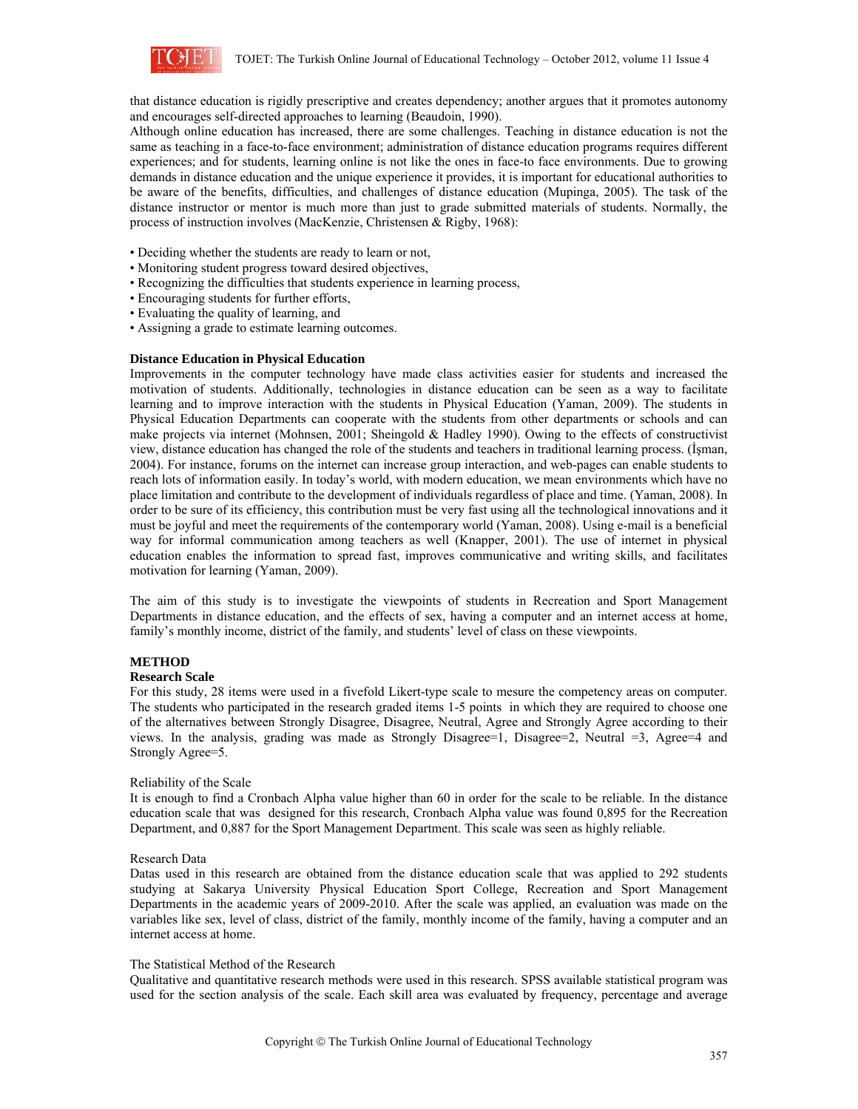

that distance education is rigidly prescriptive and creates dependency; another argues that it promotes autonomy and encourages self-directed approaches to learning (Beaudoin, 1990).

Although online education has increased, there are some challenges. Teaching in distance education is not the same as teaching in a face-to-face environment; administration of distance education programs requires different experiences; and for students, learning online is not like the ones in face-to face environments. Due to growing demands in distance education and the unique experience it provides, it is important for educational authorities to be aware of the benefits, difficulties, and challenges of distance education (Mupinga, 2005). The task of the distance instructor or mentor is much more than just to grade submitted materials of students. Normally, the process of instruction involves (MacKenzie, Christensen & Rigby, 1968):

- Deciding whether the students are ready to learn or not,
- Monitoring student progress toward desired objectives,
- Recognizing the difficulties that students experience in learning process,
- Encouraging students for further efforts,
- Evaluating the quality of learning, and
- Assigning a grade to estimate learning outcomes.

### **Distance Education in Physical Education**

Improvements in the computer technology have made class activities easier for students and increased the motivation of students. Additionally, technologies in distance education can be seen as a way to facilitate learning and to improve interaction with the students in Physical Education (Yaman, 2009). The students in Physical Education Departments can cooperate with the students from other departments or schools and can make projects via internet (Mohnsen, 2001; Sheingold & Hadley 1990). Owing to the effects of constructivist view, distance education has changed the role of the students and teachers in traditional learning process. (İşman, 2004). For instance, forums on the internet can increase group interaction, and web-pages can enable students to reach lots of information easily. In today's world, with modern education, we mean environments which have no place limitation and contribute to the development of individuals regardless of place and time. (Yaman, 2008). In order to be sure of its efficiency, this contribution must be very fast using all the technological innovations and it must be joyful and meet the requirements of the contemporary world (Yaman, 2008). Using e-mail is a beneficial way for informal communication among teachers as well (Knapper, 2001). The use of internet in physical education enables the information to spread fast, improves communicative and writing skills, and facilitates motivation for learning (Yaman, 2009).

The aim of this study is to investigate the viewpoints of students in Recreation and Sport Management Departments in distance education, and the effects of sex, having a computer and an internet access at home, family's monthly income, district of the family, and students' level of class on these viewpoints.

### **METHOD**

### **Research Scale**

For this study, 28 items were used in a fivefold Likert-type scale to mesure the competency areas on computer. The students who participated in the research graded items 1-5 points in which they are required to choose one of the alternatives between Strongly Disagree, Disagree, Neutral, Agree and Strongly Agree according to their views. In the analysis, grading was made as Strongly Disagree=1, Disagree=2, Neutral =3, Agree=4 and Strongly Agree=5.

### Reliability of the Scale

It is enough to find a Cronbach Alpha value higher than 60 in order for the scale to be reliable. In the distance education scale that was designed for this research, Cronbach Alpha value was found 0,895 for the Recreation Department, and 0,887 for the Sport Management Department. This scale was seen as highly reliable.

### Research Data

Datas used in this research are obtained from the distance education scale that was applied to 292 students studying at Sakarya University Physical Education Sport College, Recreation and Sport Management Departments in the academic years of 2009-2010. After the scale was applied, an evaluation was made on the variables like sex, level of class, district of the family, monthly income of the family, having a computer and an internet access at home.

### The Statistical Method of the Research

Qualitative and quantitative research methods were used in this research. SPSS available statistical program was used for the section analysis of the scale. Each skill area was evaluated by frequency, percentage and average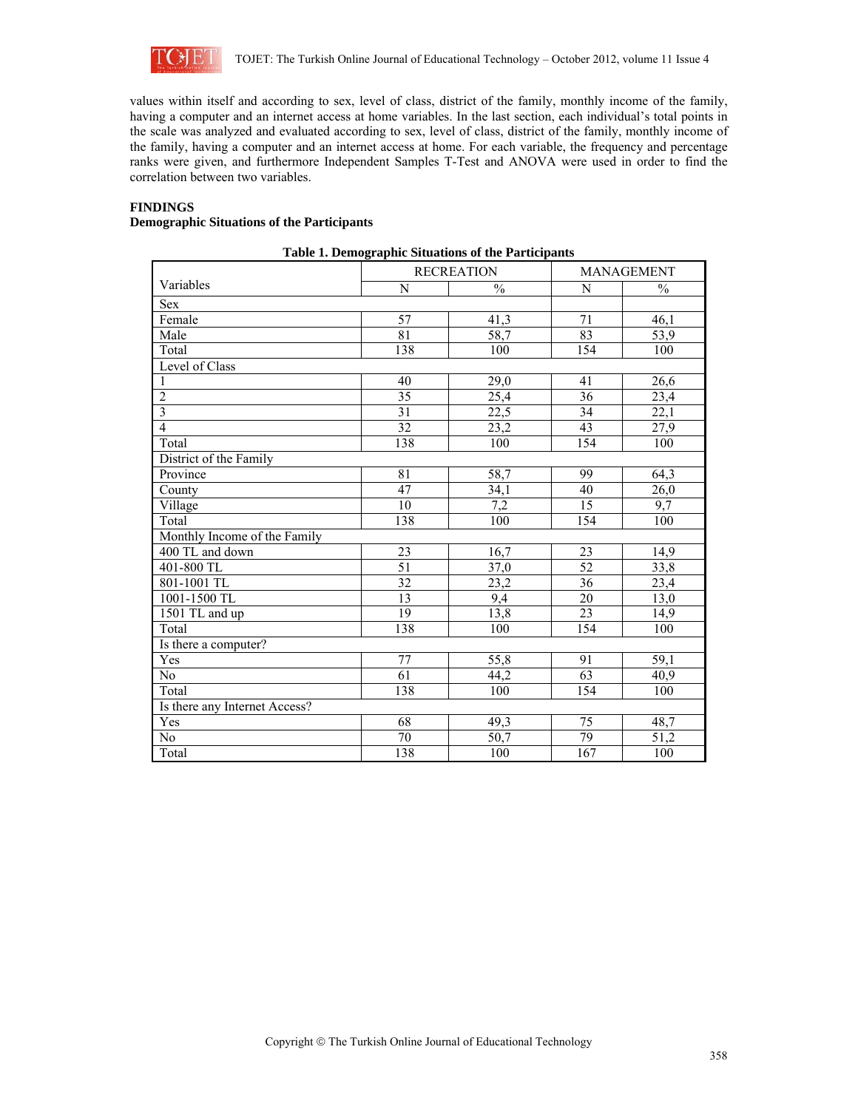

values within itself and according to sex, level of class, district of the family, monthly income of the family, having a computer and an internet access at home variables. In the last section, each individual's total points in the scale was analyzed and evaluated according to sex, level of class, district of the family, monthly income of the family, having a computer and an internet access at home. For each variable, the frequency and percentage ranks were given, and furthermore Independent Samples T-Test and ANOVA were used in order to find the correlation between two variables.

# **FINDINGS**

# **Demographic Situations of the Participants**

|                               |                 | <b>RECREATION</b> | MANAGEMENT |               |  |  |  |  |  |
|-------------------------------|-----------------|-------------------|------------|---------------|--|--|--|--|--|
| Variables                     | N               | $\frac{0}{0}$     | N          | $\frac{0}{0}$ |  |  |  |  |  |
| <b>Sex</b>                    |                 |                   |            |               |  |  |  |  |  |
| Female                        | 57              | 41,3              | 71         | 46,1          |  |  |  |  |  |
| Male                          | 81              | $\overline{58,7}$ | 83         | 53,9          |  |  |  |  |  |
| Total                         | 138             | 100               | 154        | 100           |  |  |  |  |  |
| Level of Class                |                 |                   |            |               |  |  |  |  |  |
| $\mathbf{1}$                  | 40              | 29,0              | 41         | 26,6          |  |  |  |  |  |
| $\overline{2}$                | $\overline{35}$ | 25,4              | 36         | 23,4          |  |  |  |  |  |
| $\overline{3}$                | 31              | 22,5              | 34         | 22,1          |  |  |  |  |  |
| $\overline{4}$                | $\overline{32}$ | 23,2              | 43         | 27,9          |  |  |  |  |  |
| Total                         | 138             | 100               | 154        | 100           |  |  |  |  |  |
| District of the Family        |                 |                   |            |               |  |  |  |  |  |
| Province                      | 81              | 58,7              | 99         | 64,3          |  |  |  |  |  |
| County                        | 47              | 34,1              | 40         | 26,0          |  |  |  |  |  |
| Village                       | 10              | 7,2               | 15         | 9,7           |  |  |  |  |  |
| Total                         | 138             | 100               | 154        | 100           |  |  |  |  |  |
| Monthly Income of the Family  |                 |                   |            |               |  |  |  |  |  |
| 400 TL and down               | 23              | 16,7              | 23         | 14,9          |  |  |  |  |  |
| 401-800 TL                    | 51              | 37,0              | 52         | 33,8          |  |  |  |  |  |
| 801-1001 TL                   | 32              | 23,2              | 36         | 23,4          |  |  |  |  |  |
| 1001-1500 TL                  | 13              | 9,4               | 20         | 13,0          |  |  |  |  |  |
| 1501 TL and up                | 19              | 13,8              | 23         | 14,9          |  |  |  |  |  |
| Total                         | 138             | 100               | 154        | 100           |  |  |  |  |  |
| Is there a computer?          |                 |                   |            |               |  |  |  |  |  |
| Yes                           | 77              | 55,8              | 91         | 59,1          |  |  |  |  |  |
| No                            | 61              | 44,2              | 63         | 40,9          |  |  |  |  |  |
| Total                         | 138             | 100               | 154        | 100           |  |  |  |  |  |
| Is there any Internet Access? |                 |                   |            |               |  |  |  |  |  |
| Yes                           | 68              | 49,3              | 75         | 48,7          |  |  |  |  |  |
| No                            | 70              | 50,7              | 79         | 51,2          |  |  |  |  |  |
| Total                         | 138             | 100               | 167        | 100           |  |  |  |  |  |

# **Table 1. Demographic Situations of the Participants**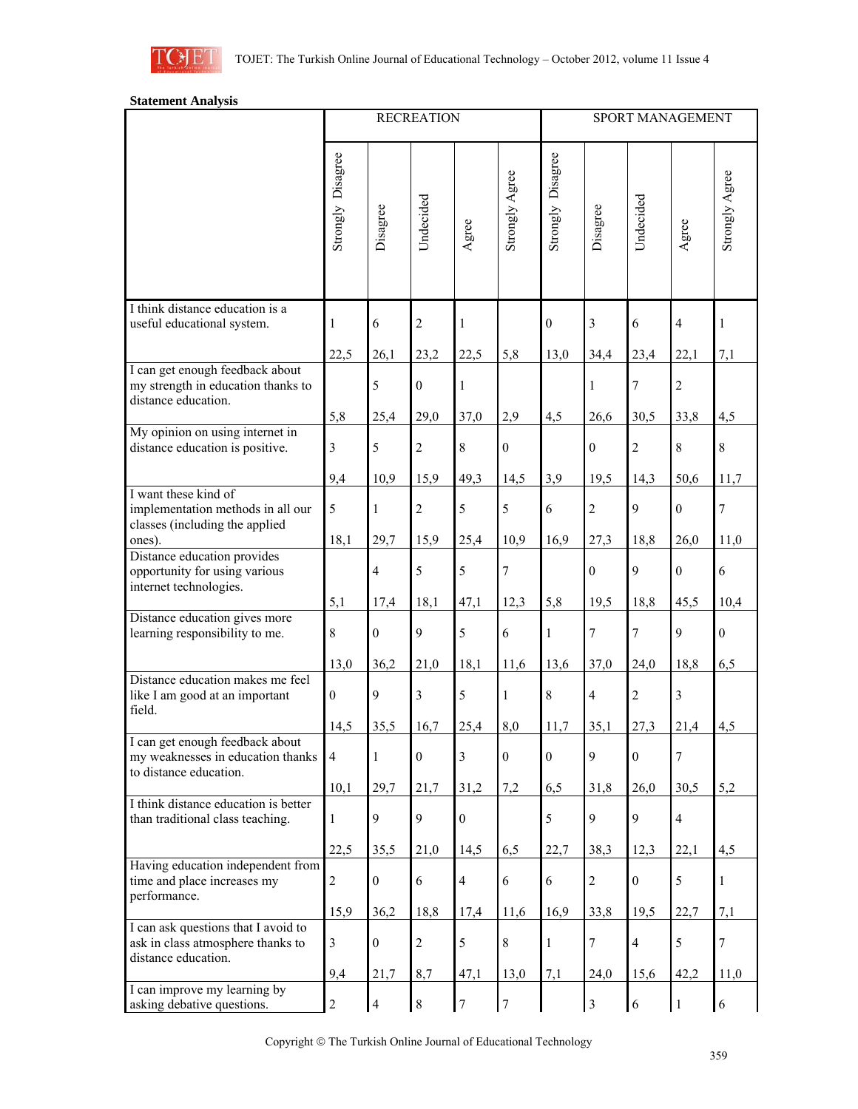

# **Statement Analysis**

|                                                                                                 | <b>RECREATION</b> |                  |                  |                  |                  | SPORT MANAGEMENT  |                  |                  |                  |                |
|-------------------------------------------------------------------------------------------------|-------------------|------------------|------------------|------------------|------------------|-------------------|------------------|------------------|------------------|----------------|
|                                                                                                 | Strongly Disagree | Disagree         | Undecided        | Agree            | Strongly Agree   | Strongly Disagree | Disagree         | Undecided        | Agree            | Strongly Agree |
| I think distance education is a<br>useful educational system.                                   | 1                 | 6                | $\overline{c}$   | $\mathbf{1}$     |                  | $\boldsymbol{0}$  | 3                | 6                | $\overline{4}$   | 1              |
|                                                                                                 | 22,5              | 26,1             | 23,2             | 22,5             | 5,8              | 13,0              | 34,4             | 23,4             | 22,1             | 7,1            |
| I can get enough feedback about<br>my strength in education thanks to<br>distance education.    |                   | 5                | $\mathbf{0}$     | $\mathbf{1}$     |                  |                   | $\mathbf{1}$     | $\overline{7}$   | $\overline{2}$   |                |
| My opinion on using internet in                                                                 | 5,8               | 25,4             | 29,0             | 37,0             | 2,9              | 4,5               | 26,6             | 30,5             | 33,8             | 4,5            |
| distance education is positive.                                                                 | 3                 | 5                | $\sqrt{2}$       | 8                | $\mathbf{0}$     |                   | $\boldsymbol{0}$ | $\sqrt{2}$       | $\,8\,$          | 8              |
|                                                                                                 | 9,4               | 10,9             | 15,9             | 49,3             | 14,5             | 3,9               | 19,5             | 14,3             | 50,6             | 11,7           |
| I want these kind of<br>implementation methods in all our<br>classes (including the applied     | 5                 | $\mathbf{1}$     | $\sqrt{2}$       | 5                | 5                | 6                 | $\overline{c}$   | $\mathbf{9}$     | $\boldsymbol{0}$ | $\overline{7}$ |
| ones).                                                                                          | 18,1              | 29,7             | 15,9             | 25,4             | 10,9             | 16,9              | 27,3             | 18,8             | 26,0             | 11,0           |
| Distance education provides<br>opportunity for using various<br>internet technologies.          |                   | $\overline{4}$   | 5                | 5                | 7                |                   | $\boldsymbol{0}$ | 9                | $\boldsymbol{0}$ | 6              |
|                                                                                                 | 5,1               | 17,4             | 18,1             | 47,1             | 12,3             | 5,8               | 19,5             | 18,8             | 45,5             | 10,4           |
| Distance education gives more<br>learning responsibility to me.                                 | 8                 | $\boldsymbol{0}$ | 9                | 5                | 6                | $\mathbf{1}$      | 7                | $\overline{7}$   | 9                | $\overline{0}$ |
|                                                                                                 | 13,0              | 36,2             | 21,0             | 18,1             | 11,6             | 13,6              | 37,0             | 24,0             | 18,8             | 6,5            |
| Distance education makes me feel<br>like I am good at an important<br>field.                    | $\boldsymbol{0}$  | $\mathbf{9}$     | $\overline{3}$   | 5                | 1                | $\,8\,$           | $\overline{4}$   | $\sqrt{2}$       | $\overline{3}$   |                |
|                                                                                                 | 14,5              | 35,5             | 16,7             | 25,4             | 8,0              | 11,7              | 35,1             | 27,3             | 21,4             | 4,5            |
| I can get enough feedback about<br>my weaknesses in education thanks<br>to distance education.  | $\overline{4}$    | $\mathbf{1}$     | $\boldsymbol{0}$ | 3                | $\mathbf{0}$     | $\boldsymbol{0}$  | 9                | $\mathbf{0}$     | $\overline{7}$   |                |
|                                                                                                 | 10,1              | 29,7             | 21,7             | 31,2             | 7,2              | 6,5               | 31,8             | 26,0             | 30,5             | 5,2            |
| I think distance education is better<br>than traditional class teaching.                        | 1                 | 9                | 9                | $\boldsymbol{0}$ |                  | $\sqrt{5}$        | 9                | 9                | $\overline{4}$   |                |
|                                                                                                 | 22,5              | 35,5             | 21,0             | 14,5             | 6,5              | 22,7              | 38,3             | 12.3             | 22,1             | 4,5            |
| Having education independent from<br>time and place increases my<br>performance.                | $\overline{2}$    | $\boldsymbol{0}$ | 6                | $\overline{4}$   | 6                | $\sqrt{6}$        | $\overline{c}$   | $\boldsymbol{0}$ | $\mathfrak s$    | $\mathbf{1}$   |
|                                                                                                 | 15,9              | 36,2             | 18,8             | 17,4             | 11,6             | 16,9              | 33,8             | 19,5             | 22,7             | 7,1            |
| I can ask questions that I avoid to<br>ask in class atmosphere thanks to<br>distance education. | $\overline{3}$    | $\boldsymbol{0}$ | $\sqrt{2}$       | 5                | $\,8\,$          | $\mathbf{1}$      | $\tau$           | $\overline{4}$   | $\sqrt{5}$       | 7              |
|                                                                                                 | 9,4               | 21,7             | 8,7              | 47,1             | 13,0             | 7,1               | 24,0             | 15,6             | 42,2             | 11,0           |
| I can improve my learning by<br>asking debative questions.                                      | $\overline{c}$    | $\overline{4}$   | $\,8\,$          | $\tau$           | $\boldsymbol{7}$ |                   | $\mathfrak{Z}$   | $\sqrt{6}$       | 1                | 6              |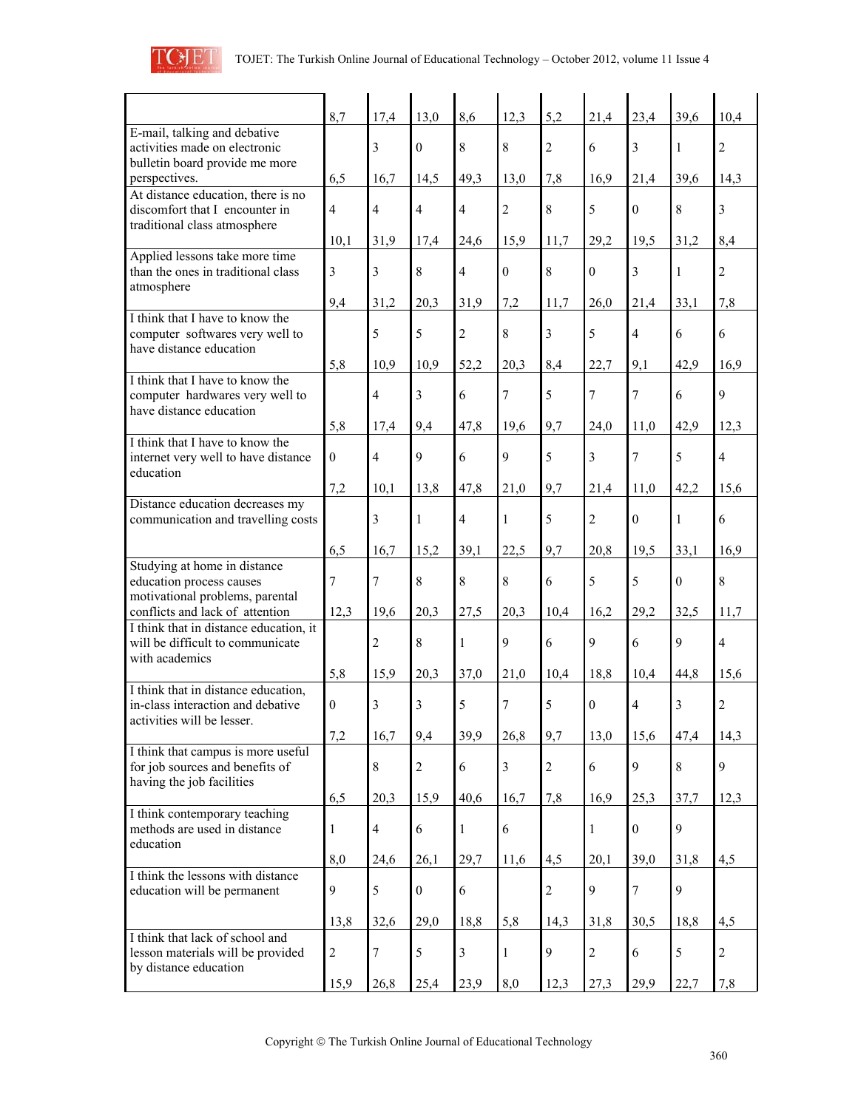

|                                                                                                        | 8,7              | 17,4           | 13,0             | 8,6            | 12,3           | 5,2              | 21,4                    | 23,4             | 39,6                    | 10,4                    |
|--------------------------------------------------------------------------------------------------------|------------------|----------------|------------------|----------------|----------------|------------------|-------------------------|------------------|-------------------------|-------------------------|
| E-mail, talking and debative<br>activities made on electronic<br>bulletin board provide me more        |                  | 3              | $\overline{0}$   | 8              | $\,8\,$        | $\overline{c}$   | 6                       | 3                | $\mathbf{1}$            | $\overline{2}$          |
| perspectives.                                                                                          | 6,5              | 16,7           | 14,5             | 49,3           | 13,0           | 7,8              | 16,9                    | 21,4             | 39,6                    | 14,3                    |
| At distance education, there is no<br>discomfort that I encounter in<br>traditional class atmosphere   | $\overline{4}$   | $\overline{4}$ | $\overline{4}$   | $\overline{4}$ | $\overline{2}$ | $\,8\,$          | 5                       | $\boldsymbol{0}$ | $\,8\,$                 | $\overline{\mathbf{3}}$ |
|                                                                                                        | 10,1             | 31,9           | 17,4             | 24,6           | 15,9           | 11,7             | 29,2                    | 19,5             | 31,2                    | 8,4                     |
| Applied lessons take more time<br>than the ones in traditional class<br>atmosphere                     | 3                | 3              | 8                | $\overline{4}$ | $\mathbf{0}$   | $8\,$            | $\theta$                | 3                | $\mathbf{1}$            | $\overline{2}$          |
|                                                                                                        | 9,4              | 31,2           | 20,3             | 31,9           | 7,2            | 11,7             | 26,0                    | 21,4             | 33,1                    | 7,8                     |
| I think that I have to know the<br>computer softwares very well to<br>have distance education          |                  | 5              | 5                | $\overline{2}$ | 8              | $\mathfrak{Z}$   | 5                       | $\overline{4}$   | 6                       | 6                       |
|                                                                                                        | 5,8              | 10,9           | 10,9             | 52,2           | 20,3           | 8,4              | 22,7                    | 9,1              | 42,9                    | 16,9                    |
| I think that I have to know the<br>computer hardwares very well to<br>have distance education          |                  | $\overline{4}$ | $\overline{3}$   | 6              | $\overline{7}$ | 5                | 7                       | 7                | 6                       | 9                       |
|                                                                                                        | 5,8              | 17,4           | 9,4              | 47,8           | 19,6           | 9,7              | 24,0                    | 11,0             | 42,9                    | 12,3                    |
| I think that I have to know the<br>internet very well to have distance<br>education                    | $\boldsymbol{0}$ | $\overline{4}$ | 9                | 6              | 9              | 5                | $\overline{\mathbf{3}}$ | 7                | 5                       | $\overline{4}$          |
|                                                                                                        | 7,2              | 10,1           | 13,8             | 47,8           | 21,0           | 9,7              | 21,4                    | 11,0             | 42.2                    | 15,6                    |
| Distance education decreases my<br>communication and travelling costs                                  |                  | 3              | $\mathbf{1}$     | $\overline{4}$ | $\mathbf{1}$   | 5                | $\overline{c}$          | $\boldsymbol{0}$ | $\,1$                   | 6                       |
|                                                                                                        | 6,5              | 16,7           | 15,2             | 39,1           | 22,5           | 9,7              | 20,8                    | 19,5             | 33,1                    | 16,9                    |
| Studying at home in distance<br>education process causes<br>motivational problems, parental            | 7                | 7              | 8                | 8              | 8              | 6                | 5                       | 5                | $\boldsymbol{0}$        | $\,8\,$                 |
| conflicts and lack of attention                                                                        | 12,3             | 19,6           | 20,3             | 27,5           | 20,3           | 10,4             | 16,2                    | 29,2             | 32,5                    | 11,7                    |
| I think that in distance education, it<br>will be difficult to communicate<br>with academics           |                  | $\overline{2}$ | 8                | $\mathbf{1}$   | 9              | 6                | 9                       | 6                | 9                       | $\overline{4}$          |
|                                                                                                        | 5,8              | 15,9           | 20,3             | 37,0           | 21,0           | 10,4             | 18,8                    | 10,4             | 44,8                    | 15,6                    |
| I think that in distance education,<br>in-class interaction and debative<br>activities will be lesser. | $\boldsymbol{0}$ | 3              | $\overline{3}$   | 5              | $\overline{7}$ | 5                | $\theta$                | 4                | $\overline{\mathbf{3}}$ | $\overline{c}$          |
|                                                                                                        | 7,2              | 16,7           | 9,4              | 39,9           | 26,8           | 9,7              | 13,0                    | 15,6             | 47,4                    | 14,3                    |
| I think that campus is more useful<br>for job sources and benefits of<br>having the job facilities     |                  | 8              | $\overline{c}$   | 6              | $\overline{3}$ | $\boldsymbol{2}$ | 6                       | 9                | $8\,$                   | 9                       |
|                                                                                                        | 6,5              | 20,3           | 15,9             | 40,6           | 16,7           | 7,8              | 16,9                    | 25,3             | 37,7                    | 12,3                    |
| I think contemporary teaching<br>methods are used in distance<br>education                             | 1                | $\overline{4}$ | 6                | $\mathbf{1}$   | $\sqrt{6}$     |                  | $\mathbf{1}$            | $\boldsymbol{0}$ | 9                       |                         |
|                                                                                                        | 8,0              | 24,6           | 26,1             | 29,7           | 11,6           | 4,5              | 20,1                    | 39,0             | 31,8                    | 4,5                     |
| I think the lessons with distance<br>education will be permanent                                       | 9                | 5              | $\boldsymbol{0}$ | 6              |                | $\sqrt{2}$       | 9                       | 7                | 9                       |                         |
|                                                                                                        | 13,8             | 32,6           | 29,0             | 18,8           | 5,8            | 14,3             | 31,8                    | 30,5             | 18,8                    | 4,5                     |
| I think that lack of school and<br>lesson materials will be provided<br>by distance education          | $\overline{c}$   | 7              | 5                | $\overline{3}$ | $\mathbf{1}$   | 9                | $\overline{2}$          | 6                | 5                       | $\sqrt{2}$              |
|                                                                                                        | 15,9             | 26,8           | 25,4             | 23,9           | 8,0            | 12,3             | 27,3                    | 29,9             | 22,7                    | 7,8                     |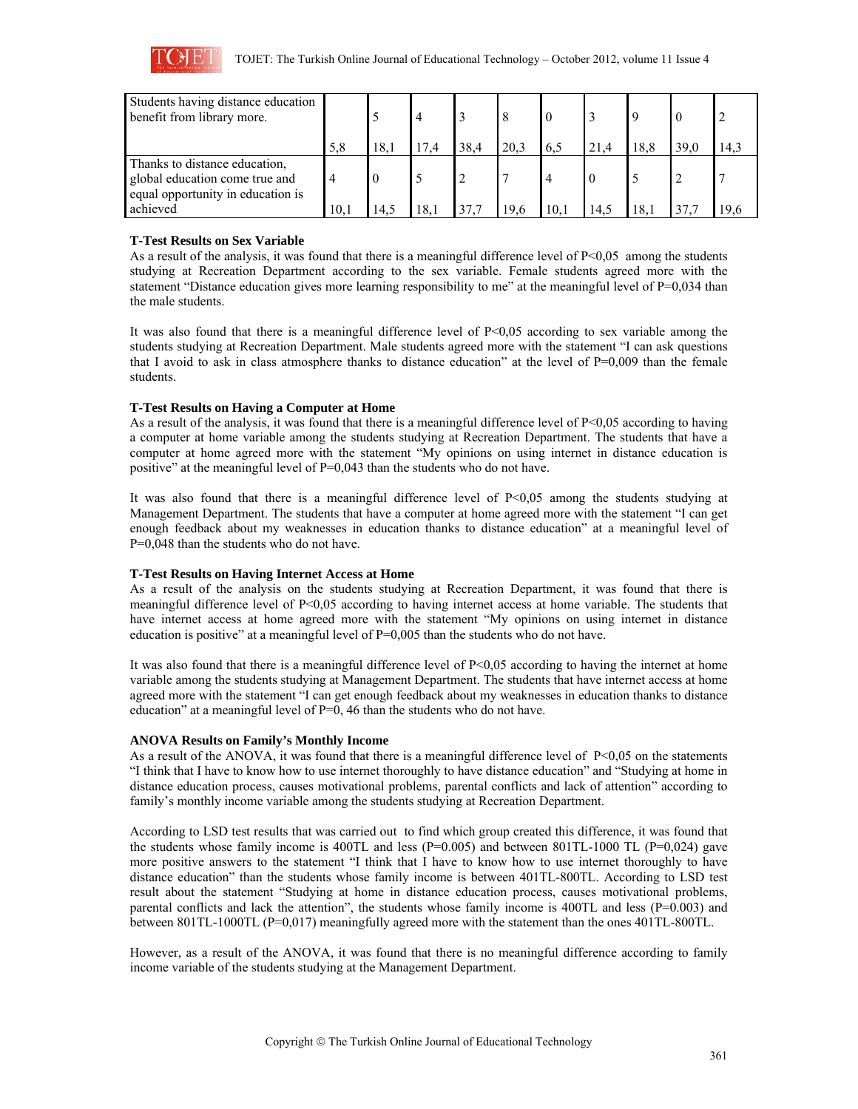

| Students having distance education<br>benefit from library more.                                     |                |      | $\overline{4}$ |      |      |     |      |      |      |      |
|------------------------------------------------------------------------------------------------------|----------------|------|----------------|------|------|-----|------|------|------|------|
|                                                                                                      | 5.8            | 18.1 | 17.4           | 38,4 | 20,3 | 6,5 | 21.4 | 18.8 | 39,0 | 14.3 |
| Thanks to distance education,<br>global education come true and<br>equal opportunity in education is | $\overline{4}$ |      |                |      |      |     |      |      |      |      |
| achieved                                                                                             | 10.1           | 14.3 | 18.1           | 37.7 | 19.6 | 10. | 14.5 | 18.  | 37.7 | 19.6 |

# **T-Test Results on Sex Variable**

As a result of the analysis, it was found that there is a meaningful difference level of P<0,05 among the students studying at Recreation Department according to the sex variable. Female students agreed more with the statement "Distance education gives more learning responsibility to me" at the meaningful level of P=0,034 than the male students.

It was also found that there is a meaningful difference level of  $P<0,05$  according to sex variable among the students studying at Recreation Department. Male students agreed more with the statement "I can ask questions that I avoid to ask in class atmosphere thanks to distance education" at the level of  $P=0,009$  than the female students.

# **T-Test Results on Having a Computer at Home**

As a result of the analysis, it was found that there is a meaningful difference level of P<0,05 according to having a computer at home variable among the students studying at Recreation Department. The students that have a computer at home agreed more with the statement "My opinions on using internet in distance education is positive" at the meaningful level of P=0,043 than the students who do not have.

It was also found that there is a meaningful difference level of  $P<0.05$  among the students studying at Management Department. The students that have a computer at home agreed more with the statement "I can get enough feedback about my weaknesses in education thanks to distance education" at a meaningful level of P=0,048 than the students who do not have.

# **T-Test Results on Having Internet Access at Home**

As a result of the analysis on the students studying at Recreation Department, it was found that there is meaningful difference level of P<0,05 according to having internet access at home variable. The students that have internet access at home agreed more with the statement "My opinions on using internet in distance education is positive" at a meaningful level of P=0,005 than the students who do not have.

It was also found that there is a meaningful difference level of P<0,05 according to having the internet at home variable among the students studying at Management Department. The students that have internet access at home agreed more with the statement "I can get enough feedback about my weaknesses in education thanks to distance education" at a meaningful level of P=0, 46 than the students who do not have.

## **ANOVA Results on Family's Monthly Income**

As a result of the ANOVA, it was found that there is a meaningful difference level of P<0,05 on the statements "I think that I have to know how to use internet thoroughly to have distance education" and "Studying at home in distance education process, causes motivational problems, parental conflicts and lack of attention" according to family's monthly income variable among the students studying at Recreation Department.

According to LSD test results that was carried out to find which group created this difference, it was found that the students whose family income is 400TL and less  $(P=0.005)$  and between 801TL-1000 TL  $(P=0.024)$  gave more positive answers to the statement "I think that I have to know how to use internet thoroughly to have distance education" than the students whose family income is between 401TL-800TL. According to LSD test result about the statement "Studying at home in distance education process, causes motivational problems, parental conflicts and lack the attention", the students whose family income is 400TL and less (P=0.003) and between 801TL-1000TL (P=0,017) meaningfully agreed more with the statement than the ones 401TL-800TL.

However, as a result of the ANOVA, it was found that there is no meaningful difference according to family income variable of the students studying at the Management Department.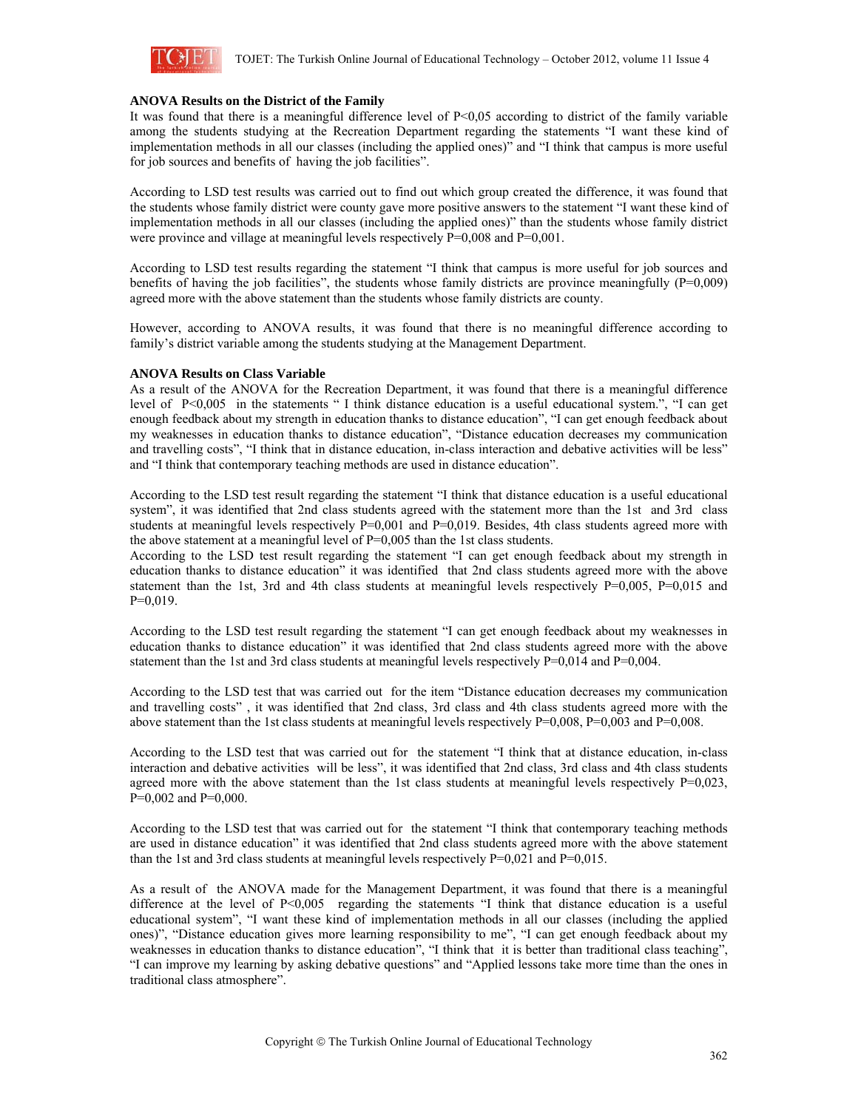

### **ANOVA Results on the District of the Family**

It was found that there is a meaningful difference level of P<0,05 according to district of the family variable among the students studying at the Recreation Department regarding the statements "I want these kind of implementation methods in all our classes (including the applied ones)" and "I think that campus is more useful for job sources and benefits of having the job facilities".

According to LSD test results was carried out to find out which group created the difference, it was found that the students whose family district were county gave more positive answers to the statement "I want these kind of implementation methods in all our classes (including the applied ones)" than the students whose family district were province and village at meaningful levels respectively  $P=0,008$  and  $P=0,001$ .

According to LSD test results regarding the statement "I think that campus is more useful for job sources and benefits of having the job facilities", the students whose family districts are province meaningfully  $(P=0,009)$ agreed more with the above statement than the students whose family districts are county.

However, according to ANOVA results, it was found that there is no meaningful difference according to family's district variable among the students studying at the Management Department.

### **ANOVA Results on Class Variable**

As a result of the ANOVA for the Recreation Department, it was found that there is a meaningful difference level of P<0,005 in the statements " I think distance education is a useful educational system.", "I can get enough feedback about my strength in education thanks to distance education", "I can get enough feedback about my weaknesses in education thanks to distance education", "Distance education decreases my communication and travelling costs", "I think that in distance education, in-class interaction and debative activities will be less" and "I think that contemporary teaching methods are used in distance education".

According to the LSD test result regarding the statement "I think that distance education is a useful educational system", it was identified that 2nd class students agreed with the statement more than the 1st and 3rd class students at meaningful levels respectively  $P=0,001$  and  $P=0,019$ . Besides, 4th class students agreed more with the above statement at a meaningful level of P=0,005 than the 1st class students.

According to the LSD test result regarding the statement "I can get enough feedback about my strength in education thanks to distance education" it was identified that 2nd class students agreed more with the above statement than the 1st, 3rd and 4th class students at meaningful levels respectively P=0,005, P=0,015 and P=0,019.

According to the LSD test result regarding the statement "I can get enough feedback about my weaknesses in education thanks to distance education" it was identified that 2nd class students agreed more with the above statement than the 1st and 3rd class students at meaningful levels respectively P=0,014 and P=0,004.

According to the LSD test that was carried out for the item "Distance education decreases my communication and travelling costs" , it was identified that 2nd class, 3rd class and 4th class students agreed more with the above statement than the 1st class students at meaningful levels respectively P=0,008, P=0,003 and P=0,008.

According to the LSD test that was carried out for the statement "I think that at distance education, in-class interaction and debative activities will be less", it was identified that 2nd class, 3rd class and 4th class students agreed more with the above statement than the 1st class students at meaningful levels respectively  $P=0,023$ ,  $P=0,002$  and  $P=0,000$ .

According to the LSD test that was carried out for the statement "I think that contemporary teaching methods are used in distance education" it was identified that 2nd class students agreed more with the above statement than the 1st and 3rd class students at meaningful levels respectively  $P=0.021$  and  $P=0.015$ .

As a result of the ANOVA made for the Management Department, it was found that there is a meaningful difference at the level of P<0,005 regarding the statements "I think that distance education is a useful educational system", "I want these kind of implementation methods in all our classes (including the applied ones)", "Distance education gives more learning responsibility to me", "I can get enough feedback about my weaknesses in education thanks to distance education", "I think that it is better than traditional class teaching", "I can improve my learning by asking debative questions" and "Applied lessons take more time than the ones in traditional class atmosphere".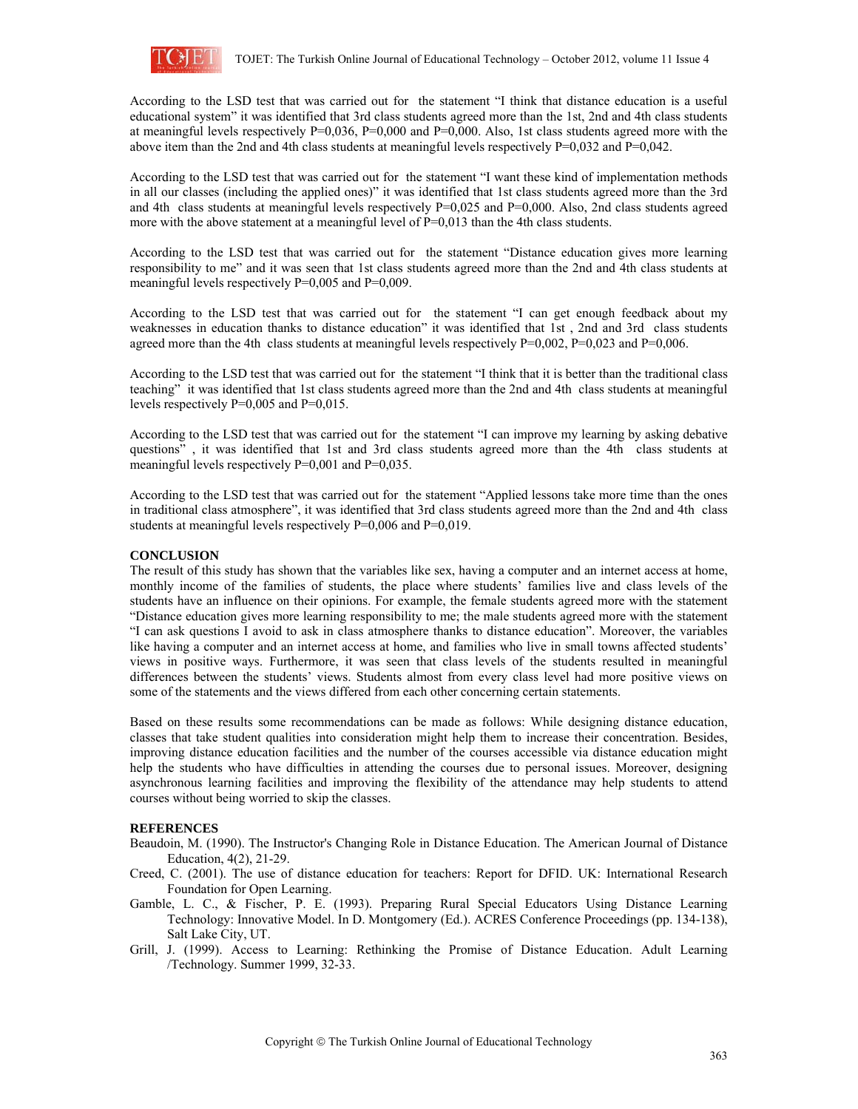

According to the LSD test that was carried out for the statement "I think that distance education is a useful educational system" it was identified that 3rd class students agreed more than the 1st, 2nd and 4th class students at meaningful levels respectively  $P=0,036$ ,  $P=0,000$  and  $P=0,000$ . Also, 1st class students agreed more with the above item than the 2nd and 4th class students at meaningful levels respectively P=0,032 and P=0,042.

According to the LSD test that was carried out for the statement "I want these kind of implementation methods in all our classes (including the applied ones)" it was identified that 1st class students agreed more than the 3rd and 4th class students at meaningful levels respectively P=0,025 and P=0,000. Also, 2nd class students agreed more with the above statement at a meaningful level of  $P=0.013$  than the 4th class students.

According to the LSD test that was carried out for the statement "Distance education gives more learning responsibility to me" and it was seen that 1st class students agreed more than the 2nd and 4th class students at meaningful levels respectively P=0,005 and P=0,009.

According to the LSD test that was carried out for the statement "I can get enough feedback about my weaknesses in education thanks to distance education" it was identified that 1st , 2nd and 3rd class students agreed more than the 4th class students at meaningful levels respectively  $P=0.002$ ,  $P=0.023$  and  $P=0.006$ .

According to the LSD test that was carried out for the statement "I think that it is better than the traditional class teaching" it was identified that 1st class students agreed more than the 2nd and 4th class students at meaningful levels respectively P=0,005 and P=0,015.

According to the LSD test that was carried out for the statement "I can improve my learning by asking debative questions" , it was identified that 1st and 3rd class students agreed more than the 4th class students at meaningful levels respectively P=0,001 and P=0,035.

According to the LSD test that was carried out for the statement "Applied lessons take more time than the ones in traditional class atmosphere", it was identified that 3rd class students agreed more than the 2nd and 4th class students at meaningful levels respectively P=0,006 and P=0,019.

## **CONCLUSION**

The result of this study has shown that the variables like sex, having a computer and an internet access at home, monthly income of the families of students, the place where students' families live and class levels of the students have an influence on their opinions. For example, the female students agreed more with the statement "Distance education gives more learning responsibility to me; the male students agreed more with the statement "I can ask questions I avoid to ask in class atmosphere thanks to distance education". Moreover, the variables like having a computer and an internet access at home, and families who live in small towns affected students' views in positive ways. Furthermore, it was seen that class levels of the students resulted in meaningful differences between the students' views. Students almost from every class level had more positive views on some of the statements and the views differed from each other concerning certain statements.

Based on these results some recommendations can be made as follows: While designing distance education, classes that take student qualities into consideration might help them to increase their concentration. Besides, improving distance education facilities and the number of the courses accessible via distance education might help the students who have difficulties in attending the courses due to personal issues. Moreover, designing asynchronous learning facilities and improving the flexibility of the attendance may help students to attend courses without being worried to skip the classes.

### **REFERENCES**

- Beaudoin, M. (1990). The Instructor's Changing Role in Distance Education. The American Journal of Distance Education, 4(2), 21-29.
- Creed, C. (2001). The use of distance education for teachers: Report for DFID. UK: International Research Foundation for Open Learning.
- Gamble, L. C., & Fischer, P. E. (1993). Preparing Rural Special Educators Using Distance Learning Technology: Innovative Model. In D. Montgomery (Ed.). ACRES Conference Proceedings (pp. 134-138), Salt Lake City, UT.
- Grill, J. (1999). Access to Learning: Rethinking the Promise of Distance Education. Adult Learning /Technology. Summer 1999, 32-33.